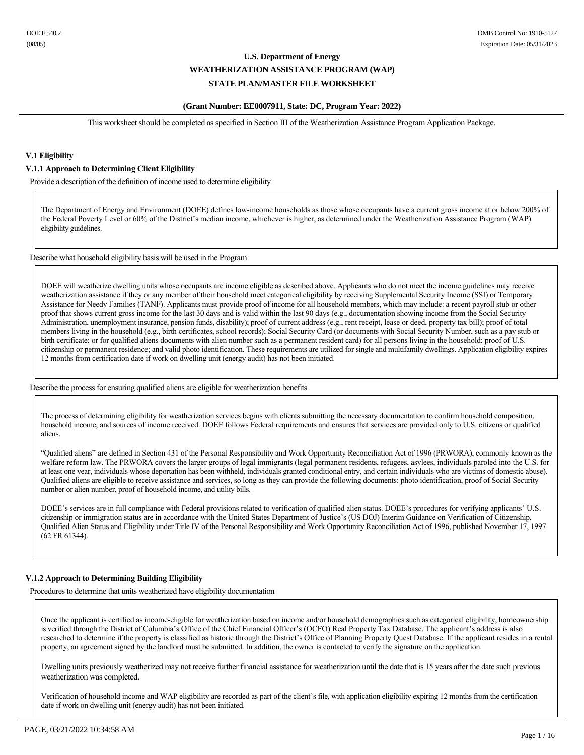#### **(Grant Number: EE0007911, State: DC, Program Year: 2022)**

This worksheet should be completed as specified in Section III of the Weatherization Assistance Program Application Package.

## **V.1 Eligibility**

#### **V.1.1 Approach to Determining Client Eligibility**

Provide a description of the definition of income used to determine eligibility

The Department of Energy and Environment (DOEE) defines low-income households as those whose occupants have a current gross income at or below 200% of the Federal Poverty Level or 60% of the District's median income, whichever is higher, as determined under the Weatherization Assistance Program (WAP) eligibility guidelines.

Describe what household eligibility basis will be used in the Program

DOEE will weatherize dwelling units whose occupants are income eligible as described above. Applicants who do not meet the income guidelines may receive weatherization assistance if they or any member of their household meet categorical eligibility by receiving Supplemental Security Income (SSI) or Temporary Assistance for Needy Families (TANF). Applicants must provide proof of income for all household members, which may include: a recent payroll stub or other proof that shows current gross income for the last 30 days and is valid within the last 90 days (e.g., documentation showing income from the Social Security Administration, unemployment insurance, pension funds, disability); proof of current address (e.g., rent receipt, lease or deed, property tax bill); proof of total members living in the household (e.g., birth certificates, school records); Social Security Card (or documents with Social Security Number, such as a pay stub or birth certificate; or for qualified aliens documents with alien number such as a permanent resident card) for all persons living in the household; proof of U.S. citizenship or permanent residence; and valid photo identification. These requirements are utilized for single and multifamily dwellings. Application eligibility expires 12 months from certification date if work on dwelling unit (energy audit) has not been initiated.

Describe the process for ensuring qualified aliens are eligible for weatherization benefits

The process of determining eligibility for weatherization services begins with clients submitting the necessary documentation to confirm household composition, household income, and sources of income received. DOEE follows Federal requirements and ensures that services are provided only to U.S. citizens or qualified aliens.

"Qualified aliens" are defined in Section 431 of the Personal Responsibility and Work Opportunity Reconciliation Act of 1996 (PRWORA), commonly known as the welfare reform law. The PRWORA covers the larger groups of legal immigrants (legal permanent residents, refugees, asylees, individuals paroled into the U.S. for at least one year, individuals whose deportation has been withheld, individuals granted conditional entry, and certain individuals who are victims of domestic abuse). Qualified aliens are eligible to receive assistance and services, so long as they can provide the following documents: photo identification, proof of Social Security number or alien number, proof of household income, and utility bills.

DOEE's services are in full compliance with Federal provisions related to verification of qualified alien status. DOEE's procedures for verifying applicants' U.S. citizenship or immigration status are in accordance with the United States Department of Justice's (US DOJ) Interim Guidance on Verification of Citizenship, Qualified Alien Status and Eligibility under Title IV of the Personal Responsibility and Work Opportunity Reconciliation Act of 1996, published November 17, 1997 (62 FR 61344).

## **V.1.2 Approach to Determining Building Eligibility**

Procedures to determine that units weatherized have eligibility documentation

Once the applicant is certified as income-eligible for weatherization based on income and/or household demographics such as categorical eligibility, homeownership is verified through the District of Columbia's Office of the Chief Financial Officer's (OCFO) Real Property Tax Database. The applicant's address is also researched to determine if the property is classified as historic through the District's Office of Planning Property Quest Database. If the applicant resides in a rental property, an agreement signed by the landlord must be submitted. In addition, the owner is contacted to verify the signature on the application.

Dwelling units previously weatherized may not receive further financial assistance for weatherization until the date that is 15 years after the date such previous weatherization was completed.

Verification of household income and WAP eligibility are recorded as part of the client's file, with application eligibility expiring 12 months from the certification date if work on dwelling unit (energy audit) has not been initiated.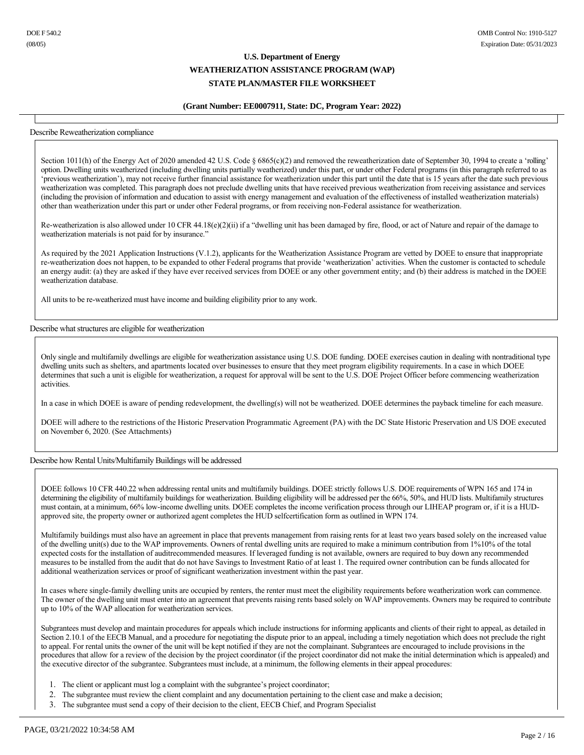#### **(Grant Number: EE0007911, State: DC, Program Year: 2022)**

#### Describe Reweatherization compliance

Section 1011(h) of the Energy Act of 2020 amended 42 U.S. Code § 6865(c)(2) and removed the reweatherization date of September 30, 1994 to create a 'rolling' option. Dwelling units weatherized (including dwelling units partially weatherized) under this part, or under other Federal programs (in this paragraph referred to as 'previous weatherization'), may not receive further financial assistance for weatherization under this part until the date that is 15 years after the date such previous weatherization was completed. This paragraph does not preclude dwelling units that have received previous weatherization from receiving assistance and services (including the provision of information and education to assist with energy management and evaluation of the effectiveness of installed weatherization materials) other than weatherization under this part or under other Federal programs, or from receiving nonFederal assistance for weatherization.

Re-weatherization is also allowed under 10 CFR 44.18(e)(2)(ii) if a "dwelling unit has been damaged by fire, flood, or act of Nature and repair of the damage to weatherization materials is not paid for by insurance."

As required by the 2021 Application Instructions (V.1.2), applicants for the Weatherization Assistance Program are vetted by DOEE to ensure that inappropriate reweatherization does not happen, to be expanded to other Federal programs that provide 'weatherization' activities. When the customer is contacted to schedule an energy audit: (a) they are asked if they have ever received services from DOEE or any other government entity; and (b) their address is matched in the DOEE weatherization database.

All units to be re-weatherized must have income and building eligibility prior to any work.

Describe what structures are eligible for weatherization

Only single and multifamily dwellings are eligible for weatherization assistance using U.S. DOE funding. DOEE exercises caution in dealing with nontraditional type dwelling units such as shelters, and apartments located over businesses to ensure that they meet program eligibility requirements. In a case in which DOEE determines that such a unit is eligible for weatherization, a request for approval will be sent to the U.S. DOE Project Officer before commencing weatherization activities.

In a case in which DOEE is aware of pending redevelopment, the dwelling(s) will not be weatherized. DOEE determines the payback timeline for each measure.

DOEE will adhere to the restrictions of the Historic Preservation Programmatic Agreement (PA) with the DC State Historic Preservation and US DOE executed on November 6, 2020. (See Attachments)

#### Describe how Rental Units/Multifamily Buildings will be addressed

DOEE follows 10 CFR 440.22 when addressing rental units and multifamily buildings. DOEE strictly follows U.S. DOE requirements of WPN 165 and 174 in determining the eligibility of multifamily buildings for weatherization. Building eligibility will be addressed per the 66%, 50%, and HUD lists. Multifamily structures must contain, at a minimum, 66% low-income dwelling units. DOEE completes the income verification process through our LIHEAP program or, if it is a HUDapproved site, the property owner or authorized agent completes the HUD selfcertification form as outlined in WPN 174.

Multifamily buildings must also have an agreement in place that prevents management from raising rents for at least two years based solely on the increased value of the dwelling unit(s) due to the WAP improvements. Owners of rental dwelling units are required to make a minimum contribution from 1%10% of the total expected costs for the installation of auditrecommended measures. If leveraged funding is not available, owners are required to buy down any recommended measures to be installed from the audit that do not have Savings to Investment Ratio of at least 1. The required owner contribution can be funds allocated for additional weatherization services or proof of significant weatherization investment within the past year.

In cases where single-family dwelling units are occupied by renters, the renter must meet the eligibility requirements before weatherization work can commence. The owner of the dwelling unit must enter into an agreement that prevents raising rents based solely on WAP improvements. Owners may be required to contribute up to 10% of the WAP allocation for weatherization services.

Subgrantees must develop and maintain procedures for appeals which include instructions for informing applicants and clients of their right to appeal, as detailed in Section 2.10.1 of the EECB Manual, and a procedure for negotiating the dispute prior to an appeal, including a timely negotiation which does not preclude the right to appeal. For rental units the owner of the unit will be kept notified if they are not the complainant. Subgrantees are encouraged to include provisions in the procedures that allow for a review of the decision by the project coordinator (if the project coordinator did not make the initial determination which is appealed) and the executive director of the subgrantee. Subgrantees must include, at a minimum, the following elements in their appeal procedures:

- 1. The client or applicant must log a complaint with the subgrantee's project coordinator;
- 2. The subgrantee must review the client complaint and any documentation pertaining to the client case and make a decision;
- 3. The subgrantee must send a copy of their decision to the client, EECB Chief, and Program Specialist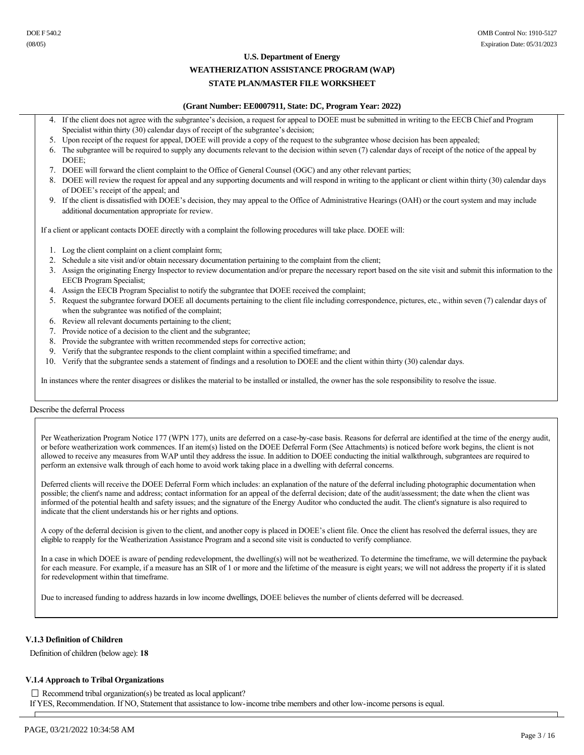#### **U.S. Department of Energy**

## **WEATHERIZATION ASSISTANCE PROGRAM (WAP)**

## **STATE PLAN/MASTER FILE WORKSHEET**

#### **(Grant Number: EE0007911, State: DC, Program Year: 2022)**

- If the client does not agree with the subgrantee's decision, a request for appeal to DOEE must be submitted in writing to the EECB Chief and Program Specialist within thirty (30) calendar days of receipt of the subgrantee's decision;
- 5. Upon receipt of the request for appeal, DOEE will provide a copy of the request to the subgrantee whose decision has been appealed;
- 6. The subgrantee will be required to supply any documents relevant to the decision within seven (7) calendar days of receipt of the notice of the appeal by DOEE;
- 7. DOEE will forward the client complaint to the Office of General Counsel (OGC) and any other relevant parties;
- 8. DOEE will review the request for appeal and any supporting documents and will respond in writing to the applicant or client within thirty (30) calendar days of DOEE's receipt of the appeal; and
- 9. If the client is dissatisfied with DOEE's decision, they may appeal to the Office of Administrative Hearings (OAH) or the court system and may include additional documentation appropriate for review.

If a client or applicant contacts DOEE directly with a complaint the following procedures will take place. DOEE will:

- 1. Log the client complaint on a client complaint form;
- 2. Schedule a site visit and/or obtain necessary documentation pertaining to the complaint from the client;
- 3. Assign the originating Energy Inspector to review documentation and/or prepare the necessary report based on the site visit and submit this information to the EECB Program Specialist;
- 4. Assign the EECB Program Specialist to notify the subgrantee that DOEE received the complaint;
- 5. Request the subgrantee forward DOEE all documents pertaining to the client file including correspondence, pictures, etc., within seven (7) calendar days of when the subgrantee was notified of the complaint;
- 6. Review all relevant documents pertaining to the client;
- 7. Provide notice of a decision to the client and the subgrantee;
- 8. Provide the subgrantee with written recommended steps for corrective action;
- 9. Verify that the subgrantee responds to the client complaint within a specified timeframe; and
- 10. Verify that the subgrantee sends a statement of findings and a resolution to DOEE and the client within thirty (30) calendar days.

In instances where the renter disagrees or dislikes the material to be installed or installed, the owner has the sole responsibility to resolve the issue.

#### Describe the deferral Process

Per Weatherization Program Notice 177 (WPN 177), units are deferred on a case-by-case basis. Reasons for deferral are identified at the time of the energy audit, or before weatherization work commences. If an item(s) listed on the DOEE Deferral Form (See Attachments) is noticed before work begins, the client is not allowed to receive any measures from WAP until they address the issue. In addition to DOEE conducting the initial walkthrough, subgrantees are required to perform an extensive walk through of each home to avoid work taking place in a dwelling with deferral concerns.

Deferred clients will receive the DOEE Deferral Form which includes: an explanation of the nature of the deferral including photographic documentation when possible; the client's name and address; contact information for an appeal of the deferral decision; date of the audit/assessment; the date when the client was informed of the potential health and safety issues; and the signature of the Energy Auditor who conducted the audit. The client's signature is also required to indicate that the client understands his or her rights and options.

A copy of the deferral decision is given to the client, and another copy is placed in DOEE's client file. Once the client has resolved the deferral issues, they are eligible to reapply for the Weatherization Assistance Program and a second site visit is conducted to verify compliance.

In a case in which DOEE is aware of pending redevelopment, the dwelling(s) will not be weatherized. To determine the timeframe, we will determine the payback for each measure. For example, if a measure has an SIR of 1 or more and the lifetime of the measure is eight years; we will not address the property if it is slated for redevelopment within that timeframe.

Due to increased funding to address hazards in low income dwellings, DOEE believes the number of clients deferred will be decreased.

#### **V.1.3 Definition of Children**

Definition of children (below age): **18**

#### **V.1.4 Approach to Tribal Organizations**

 $\Box$  Recommend tribal organization(s) be treated as local applicant? If YES, Recommendation. If NO, Statement that assistance to low-income tribe members and other low-income persons is equal.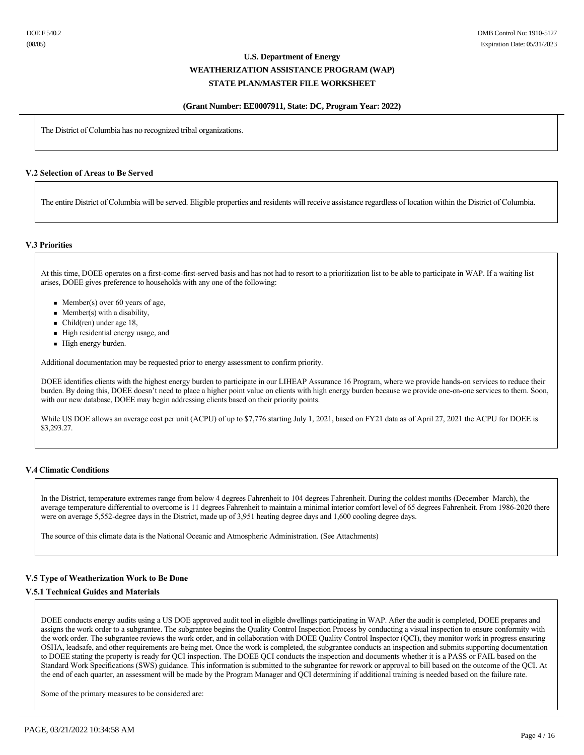#### **(Grant Number: EE0007911, State: DC, Program Year: 2022)**

The District of Columbia has no recognized tribal organizations.

#### **V.2 Selection of Areas to Be Served**

The entire District of Columbia will be served. Eligible properties and residents will receive assistance regardless of location within the District of Columbia.

#### **V.3 Priorities**

At this time, DOEE operates on a first-come-first-served basis and has not had to resort to a prioritization list to be able to participate in WAP. If a waiting list arises, DOEE gives preference to households with any one of the following:

- Member(s) over 60 years of age,
- $\blacksquare$  Member(s) with a disability,
- $\blacksquare$  Child(ren) under age 18,
- <sup>n</sup> High residential energy usage, and
- High energy burden.

Additional documentation may be requested prior to energy assessment to confirm priority.

DOEE identifies clients with the highest energy burden to participate in our LIHEAP Assurance 16 Program, where we provide hands-on services to reduce their burden. By doing this, DOEE doesn't need to place a higher point value on clients with high energy burden because we provide one-on-one services to them. Soon, with our new database, DOEE may begin addressing clients based on their priority points.

While US DOE allows an average cost per unit (ACPU) of up to \$7,776 starting July 1, 2021, based on FY21 data as of April 27, 2021 the ACPU for DOEE is \$3,293.27.

#### **V.4 Climatic Conditions**

In the District, temperature extremes range from below 4 degrees Fahrenheit to 104 degrees Fahrenheit. During the coldest months (December March), the average temperature differential to overcome is 11 degrees Fahrenheit to maintain a minimal interior comfort level of 65 degrees Fahrenheit. From 1986-2020 there were on average 5,552-degree days in the District, made up of 3,951 heating degree days and 1,600 cooling degree days.

The source of this climate data is the National Oceanic and Atmospheric Administration. (See Attachments)

#### **V.5 Type of Weatherization Work to Be Done**

## **V.5.1 Technical Guides and Materials**

DOEE conducts energy audits using a US DOE approved audit tool in eligible dwellings participating in WAP. After the audit is completed, DOEE prepares and assigns the work order to a subgrantee. The subgrantee begins the Quality Control Inspection Process by conducting a visual inspection to ensure conformity with the work order. The subgrantee reviews the work order, and in collaboration with DOEE Quality Control Inspector (QCI), they monitor work in progress ensuring OSHA, leadsafe, and other requirements are being met. Once the work is completed, the subgrantee conducts an inspection and submits supporting documentation to DOEE stating the property is ready for QCI inspection. The DOEE QCI conducts the inspection and documents whether it is a PASS or FAIL based on the Standard Work Specifications (SWS) guidance. This information is submitted to the subgrantee for rework or approval to bill based on the outcome of the QCI. At the end of each quarter, an assessment will be made by the Program Manager and QCI determining if additional training is needed based on the failure rate.

Some of the primary measures to be considered are: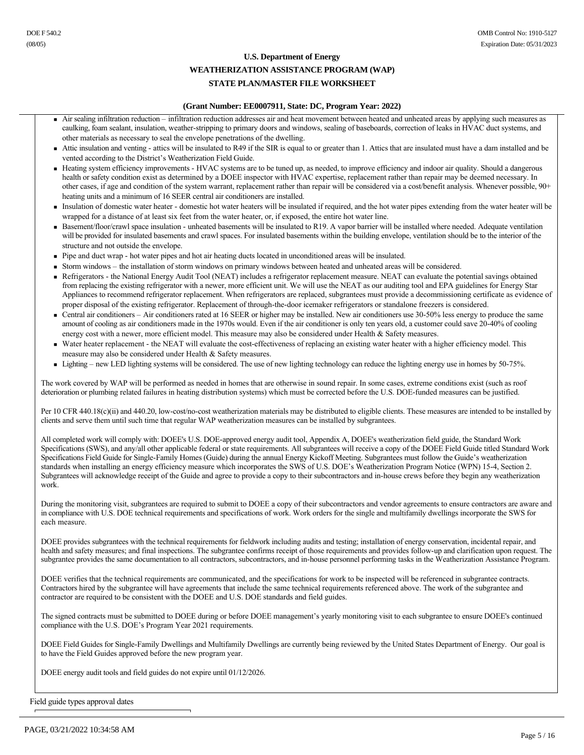#### **(Grant Number: EE0007911, State: DC, Program Year: 2022)**

- <sup>n</sup> Air sealing infiltration reduction infiltration reduction addresses air and heat movement between heated and unheated areas by applying such measures as caulking, foam sealant, insulation, weather-stripping to primary doors and windows, sealing of baseboards, correction of leaks in HVAC duct systems, and other materials as necessary to seal the envelope penetrations of the dwelling.
- Attic insulation and venting attics will be insulated to R49 if the SIR is equal to or greater than 1. Attics that are insulated must have a dam installed and be vented according to the District's Weatherization Field Guide.
- <sup>n</sup> Heating system efficiency improvements HVAC systems are to be tuned up, as needed, to improve efficiency and indoor air quality. Should a dangerous health or safety condition exist as determined by a DOEE inspector with HVAC expertise, replacement rather than repair may be deemed necessary. In other cases, if age and condition of the system warrant, replacement rather than repair will be considered via a cost/benefit analysis. Whenever possible, 90+ heating units and a minimum of 16 SEER central air conditioners are installed.
- <sup>n</sup> Insulation of domestic water heater domestic hot water heaters will be insulated if required, and the hot water pipes extending from the water heater will be wrapped for a distance of at least six feet from the water heater, or, if exposed, the entire hot water line.
- Basement/floor/crawl space insulation unheated basements will be insulated to R19. A vapor barrier will be installed where needed. Adequate ventilation will be provided for insulated basements and crawl spaces. For insulated basements within the building envelope, ventilation should be to the interior of the structure and not outside the envelope.
- <sup>n</sup> Pipe and duct wrap hot water pipes and hot air heating ducts located in unconditioned areas will be insulated.
- <sup>n</sup> Storm windows the installation of storm windows on primary windows between heated and unheated areas will be considered.
- <sup>n</sup> Refrigerators the National Energy Audit Tool (NEAT) includes a refrigerator replacement measure. NEAT can evaluate the potential savings obtained from replacing the existing refrigerator with a newer, more efficient unit. We will use the NEAT as our auditing tool and EPA guidelines for Energy Star Appliances to recommend refrigerator replacement. When refrigerators are replaced, subgrantees must provide a decommissioning certificate as evidence of proper disposal of the existing refrigerator. Replacement of through-the-door icemaker refrigerators or standalone freezers is considered.
- Central air conditioners Air conditioners rated at 16 SEER or higher may be installed. New air conditioners use 30-50% less energy to produce the same amount of cooling as air conditioners made in the 1970s would. Even if the air conditioner is only ten years old, a customer could save 20-40% of cooling energy cost with a newer, more efficient model. This measure may also be considered under Health & Safety measures.
- Water heater replacement the NEAT will evaluate the cost-effectiveness of replacing an existing water heater with a higher efficiency model. This measure may also be considered under Health & Safety measures.
- Lighting new LED lighting systems will be considered. The use of new lighting technology can reduce the lighting energy use in homes by 50-75%.

The work covered by WAP will be performed as needed in homes that are otherwise in sound repair. In some cases, extreme conditions exist (such as roof deterioration or plumbing related failures in heating distribution systems) which must be corrected before the U.S. DOE-funded measures can be justified.

Per 10 CFR 440.18(c)(ii) and 440.20, low-cost/no-cost weatherization materials may be distributed to eligible clients. These measures are intended to be installed by clients and serve them until such time that regular WAP weatherization measures can be installed by subgrantees.

All completed work will comply with: DOEE's U.S. DOE-approved energy audit tool, Appendix A, DOEE's weatherization field guide, the Standard Work Specifications (SWS), and any/all other applicable federal or state requirements. All subgrantees will receive a copy of the DOEE Field Guide titled Standard Work Specifications Field Guide for Single-Family Homes (Guide) during the annual Energy Kickoff Meeting. Subgrantees must follow the Guide's weatherization standards when installing an energy efficiency measure which incorporates the SWS of U.S. DOE's Weatherization Program Notice (WPN) 15-4, Section 2. Subgrantees will acknowledge receipt of the Guide and agree to provide a copy to their subcontractors and in-house crews before they begin any weatherization work.

During the monitoring visit, subgrantees are required to submit to DOEE a copy of their subcontractors and vendor agreements to ensure contractors are aware and in compliance with U.S. DOE technical requirements and specifications of work. Work orders for the single and multifamily dwellings incorporate the SWS for each measure.

DOEE provides subgrantees with the technical requirements for fieldwork including audits and testing; installation of energy conservation, incidental repair, and health and safety measures; and final inspections. The subgrantee confirms receipt of those requirements and provides followup and clarification upon request. The subgrantee provides the same documentation to all contractors, subcontractors, and in-house personnel performing tasks in the Weatherization Assistance Program.

DOEE verifies that the technical requirements are communicated, and the specifications for work to be inspected will be referenced in subgrantee contracts. Contractors hired by the subgrantee will have agreements that include the same technical requirements referenced above. The work of the subgrantee and contractor are required to be consistent with the DOEE and U.S. DOE standards and field guides.

The signed contracts must be submitted to DOEE during or before DOEE management's yearly monitoring visit to each subgrantee to ensure DOEE's continued compliance with the U.S. DOE's Program Year 2021 requirements.

DOEE Field Guides for Single-Family Dwellings and Multifamily Dwellings are currently being reviewed by the United States Department of Energy. Our goal is to have the Field Guides approved before the new program year.

DOEE energy audit tools and field guides do not expire until 01/12/2026.

Field guide types approval dates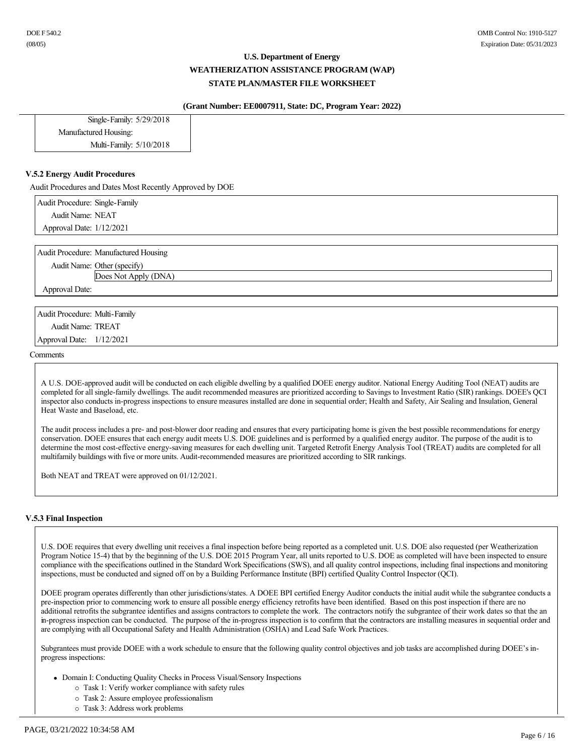#### **(Grant Number: EE0007911, State: DC, Program Year: 2022)**

| Single-Family: 5/29/2018 |
|--------------------------|
| Manufactured Housing:    |
| Multi-Family: 5/10/2018  |
|                          |

#### **V.5.2 Energy Audit Procedures**

Audit Procedures and Dates Most Recently Approved by DOE

Audit Procedure: Single-Family Audit Name: NEAT Approval Date: 1/12/2021

Audit Procedure: Manufactured Housing

Audit Name: Other (specify) Does Not Apply (DNA)

Approval Date:

Audit Procedure: Multi-Family Audit Name: TREAT Approval Date: 1/12/2021

**Comments** 

A U.S. DOE-approved audit will be conducted on each eligible dwelling by a qualified DOEE energy auditor. National Energy Auditing Tool (NEAT) audits are completed for all single-family dwellings. The audit recommended measures are prioritized according to Savings to Investment Ratio (SIR) rankings. DOEE's QCI inspector also conducts inprogress inspections to ensure measures installed are done in sequential order; Health and Safety, Air Sealing and Insulation, General Heat Waste and Baseload, etc.

The audit process includes a pre- and post-blower door reading and ensures that every participating home is given the best possible recommendations for energy conservation. DOEE ensures that each energy audit meets U.S. DOE guidelines and is performed by a qualified energy auditor. The purpose of the audit is to determine the most cost-effective energy-saving measures for each dwelling unit. Targeted Retrofit Energy Analysis Tool (TREAT) audits are completed for all multifamily buildings with five or more units. Audit-recommended measures are prioritized according to SIR rankings.

Both NEAT and TREAT were approved on 01/12/2021.

## **V.5.3 Final Inspection**

U.S. DOE requires that every dwelling unit receives a final inspection before being reported as a completed unit. U.S. DOE also requested (per Weatherization Program Notice 15-4) that by the beginning of the U.S. DOE 2015 Program Year, all units reported to U.S. DOE as completed will have been inspected to ensure compliance with the specifications outlined in the Standard Work Specifications (SWS), and all quality control inspections, including final inspections and monitoring inspections, must be conducted and signed off on by a Building Performance Institute (BPI) certified Quality Control Inspector (QCI).

DOEE program operates differently than other jurisdictions/states. A DOEE BPI certified Energy Auditor conducts the initial audit while the subgrantee conducts a pre-inspection prior to commencing work to ensure all possible energy efficiency retrofits have been identified. Based on this post inspection if there are no additional retrofits the subgrantee identifies and assigns contractors to complete the work. The contractors notify the subgrantee of their work dates so that the an in-progress inspection can be conducted. The purpose of the in-progress inspection is to confirm that the contractors are installing measures in sequential order and are complying with all Occupational Safety and Health Administration (OSHA) and Lead Safe Work Practices.

Subgrantees must provide DOEE with a work schedule to ensure that the following quality control objectives and job tasks are accomplished during DOEE's inprogress inspections:

- Domain I: Conducting Quality Checks in Process Visual/Sensory Inspections
	- ¡ Task 1: Verify worker compliance with safety rules
	- ¡ Task 2: Assure employee professionalism
	- ¡ Task 3: Address work problems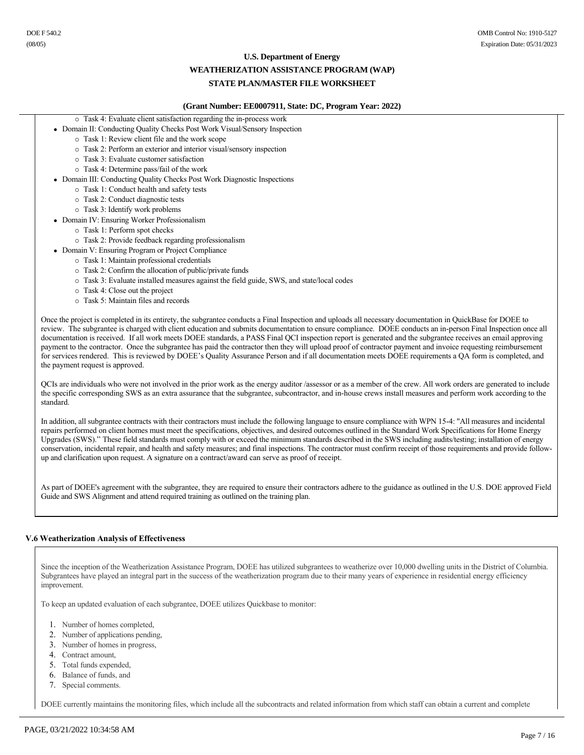#### **U.S. Department of Energy**

#### **WEATHERIZATION ASSISTANCE PROGRAM (WAP)**

## **STATE PLAN/MASTER FILE WORKSHEET**

#### **(Grant Number: EE0007911, State: DC, Program Year: 2022)**

- $\circ$  Task 4: Evaluate client satisfaction regarding the in-process work
- Domain II: Conducting Quality Checks Post Work Visual/Sensory Inspection
	- ¡ Task 1: Review client file and the work scope
	- ¡ Task 2: Perform an exterior and interior visual/sensory inspection
	- ¡ Task 3: Evaluate customer satisfaction
	- ¡ Task 4: Determine pass/fail of the work
- Domain III: Conducting Quality Checks Post Work Diagnostic Inspections
	- ¡ Task 1: Conduct health and safety tests
	- ¡ Task 2: Conduct diagnostic tests
	- ¡ Task 3: Identify work problems
- Domain IV: Ensuring Worker Professionalism
	- ¡ Task 1: Perform spot checks
	- ¡ Task 2: Provide feedback regarding professionalism
- Domain V: Ensuring Program or Project Compliance
	- ¡ Task 1: Maintain professional credentials
		- ¡ Task 2: Confirm the allocation of public/private funds
		- ¡ Task 3: Evaluate installed measures against the field guide, SWS, and state/local codes
		- ¡ Task 4: Close out the project
		- $\circ$  Task 5: Maintain files and records

Once the project is completed in its entirety, the subgrantee conducts a Final Inspection and uploads all necessary documentation in QuickBase for DOEE to review. The subgrantee is charged with client education and submits documentation to ensure compliance. DOEE conducts an in-person Final Inspection once all documentation is received. If all work meets DOEE standards, a PASS Final QCI inspection report is generated and the subgrantee receives an email approving payment to the contractor. Once the subgrantee has paid the contractor then they will upload proof of contractor payment and invoice requesting reimbursement for services rendered. This is reviewed by DOEE's Quality Assurance Person and if all documentation meets DOEE requirements a QA form is completed, and the payment request is approved.

QCIs are individuals who were not involved in the prior work as the energy auditor /assessor or as a member of the crew. All work orders are generated to include the specific corresponding SWS as an extra assurance that the subgrantee, subcontractor, and inhouse crews install measures and perform work according to the standard.

In addition, all subgrantee contracts with their contractors must include the following language to ensure compliance with WPN 154: "All measures and incidental repairs performed on client homes must meet the specifications, objectives, and desired outcomes outlined in the Standard Work Specifications for Home Energy Upgrades (SWS)." These field standards must comply with or exceed the minimum standards described in the SWS including audits/testing; installation of energy conservation, incidental repair, and health and safety measures; and final inspections. The contractor must confirm receipt of those requirements and provide followup and clarification upon request. A signature on a contract/award can serve as proof of receipt.

As part of DOEE's agreement with the subgrantee, they are required to ensure their contractors adhere to the guidance as outlined in the U.S. DOE approved Field Guide and SWS Alignment and attend required training as outlined on the training plan.

#### **V.6 Weatherization Analysis of Effectiveness**

Since the inception of the Weatherization Assistance Program, DOEE has utilized subgrantees to weatherize over 10,000 dwelling units in the District of Columbia. Subgrantees have played an integral part in the success of the weatherization program due to their many years of experience in residential energy efficiency improvement.

To keep an updated evaluation of each subgrantee, DOEE utilizes Quickbase to monitor:

- 1. Number of homes completed,
- 2. Number of applications pending,
- 3. Number of homes in progress,
- 4. Contract amount,
- 5. Total funds expended,
- 6. Balance of funds, and
- 7. Special comments.

DOEE currently maintains the monitoring files, which include all the subcontracts and related information from which staff can obtain a current and complete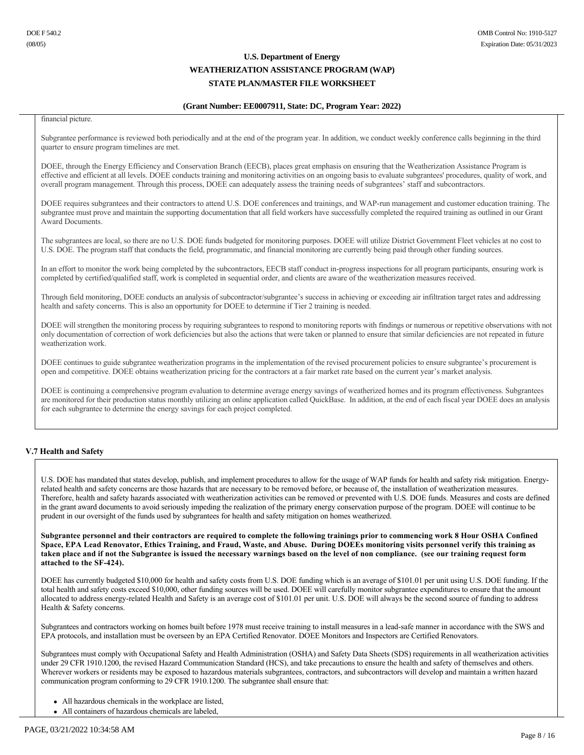#### **(Grant Number: EE0007911, State: DC, Program Year: 2022)**

financial picture.

Subgrantee performance is reviewed both periodically and at the end of the program year. In addition, we conduct weekly conference calls beginning in the third quarter to ensure program timelines are met.

DOEE, through the Energy Efficiency and Conservation Branch (EECB), places great emphasis on ensuring that the Weatherization Assistance Program is effective and efficient at all levels. DOEE conducts training and monitoring activities on an ongoing basis to evaluate subgrantees' procedures, quality of work, and overall program management. Through this process, DOEE can adequately assess the training needs of subgrantees' staff and subcontractors.

DOEE requires subgrantees and their contractors to attend U.S. DOE conferences and trainings, and WAP-run management and customer education training. The subgrantee must prove and maintain the supporting documentation that all field workers have successfully completed the required training as outlined in our Grant Award Documents.

The subgrantees are local, so there are no U.S. DOE funds budgeted for monitoring purposes. DOEE will utilize District Government Fleet vehicles at no cost to U.S. DOE. The program staff that conducts the field, programmatic, and financial monitoring are currently being paid through other funding sources.

In an effort to monitor the work being completed by the subcontractors, EECB staff conduct in-progress inspections for all program participants, ensuring work is completed by certified/qualified staff, work is completed in sequential order, and clients are aware of the weatherization measures received.

Through field monitoring, DOEE conducts an analysis of subcontractor/subgrantee's success in achieving or exceeding air infiltration target rates and addressing health and safety concerns. This is also an opportunity for DOEE to determine if Tier 2 training is needed.

DOEE will strengthen the monitoring process by requiring subgrantees to respond to monitoring reports with findings or numerous or repetitive observations with not only documentation of correction of work deficiencies but also the actions that were taken or planned to ensure that similar deficiencies are not repeated in future weatherization work.

DOEE continues to guide subgrantee weatherization programs in the implementation of the revised procurement policies to ensure subgrantee's procurement is open and competitive. DOEE obtains weatherization pricing for the contractors at a fair market rate based on the current year's market analysis.

DOEE is continuing a comprehensive program evaluation to determine average energy savings of weatherized homes and its program effectiveness. Subgrantees are monitored for their production status monthly utilizing an online application called QuickBase. In addition, at the end of each fiscal year DOEE does an analysis for each subgrantee to determine the energy savings for each project completed.

## **V.7 Health and Safety**

U.S. DOE has mandated that states develop, publish, and implement procedures to allow for the usage of WAP funds for health and safety risk mitigation. Energyrelated health and safety concerns are those hazards that are necessary to be removed before, or because of, the installation of weatherization measures. Therefore, health and safety hazards associated with weatherization activities can be removed or prevented with U.S. DOE funds. Measures and costs are defined in the grant award documents to avoid seriously impeding the realization of the primary energy conservation purpose of the program. DOEE will continue to be prudent in our oversight of the funds used by subgrantees for health and safety mitigation on homes weatherized.

**Subgrantee personnel and their contractors are required to complete the following trainings prior to commencing work 8 Hour OSHA Confined Space, EPA Lead Renovator, Ethics Training, and Fraud, Waste, and Abuse. During DOEEs monitoring visits personnel verify this training as taken place and if not the Subgrantee is issued the necessary warnings based on the level of non compliance. (see our training request form**  attached to the SF-424).

DOEE has currently budgeted \$10,000 for health and safety costs from U.S. DOE funding which is an average of \$101.01 per unit using U.S. DOE funding. If the total health and safety costs exceed \$10,000, other funding sources will be used. DOEE will carefully monitor subgrantee expenditures to ensure that the amount allocated to address energy-related Health and Safety is an average cost of \$101.01 per unit. U.S. DOE will always be the second source of funding to address Health & Safety concerns.

Subgrantees and contractors working on homes built before 1978 must receive training to install measures in a lead-safe manner in accordance with the SWS and EPA protocols, and installation must be overseen by an EPA Certified Renovator. DOEE Monitors and Inspectors are Certified Renovators.

Subgrantees must comply with Occupational Safety and Health Administration (OSHA) and Safety Data Sheets (SDS) requirements in all weatherization activities under 29 CFR 1910.1200, the revised Hazard Communication Standard (HCS), and take precautions to ensure the health and safety of themselves and others. Wherever workers or residents may be exposed to hazardous materials subgrantees, contractors, and subcontractors will develop and maintain a written hazard communication program conforming to 29 CFR 1910.1200. The subgrantee shall ensure that:

- All hazardous chemicals in the workplace are listed,
- All containers of hazardous chemicals are labeled,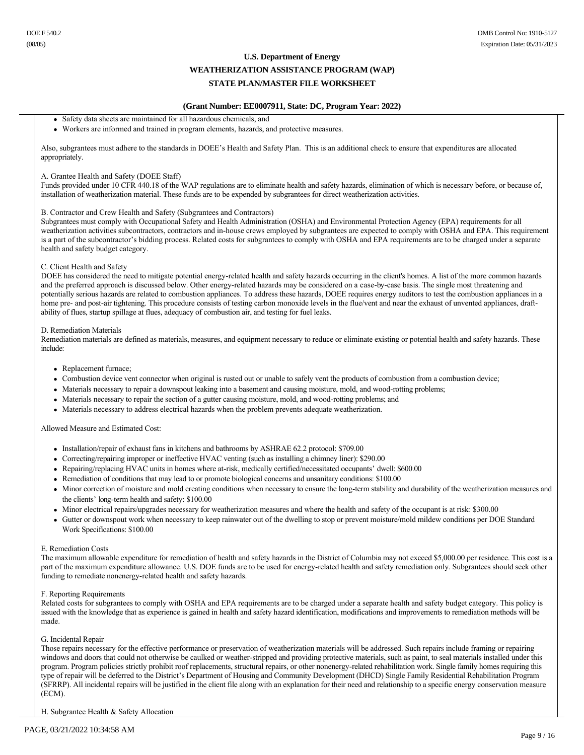#### **(Grant Number: EE0007911, State: DC, Program Year: 2022)**

- Safety data sheets are maintained for all hazardous chemicals, and
- <sup>l</sup> Workers are informed and trained in program elements, hazards, and protective measures.

Also, subgrantees must adhere to the standards in DOEE's Health and Safety Plan. This is an additional check to ensure that expenditures are allocated appropriately.

#### A. Grantee Health and Safety (DOEE Staff)

Funds provided under 10 CFR 440.18 of the WAP regulations are to eliminate health and safety hazards, elimination of which is necessary before, or because of, installation of weatherization material. These funds are to be expended by subgrantees for direct weatherization activities.

#### B. Contractor and Crew Health and Safety (Subgrantees and Contractors)

Subgrantees must comply with Occupational Safety and Health Administration (OSHA) and Environmental Protection Agency (EPA) requirements for all weatherization activities subcontractors, contractors and inhouse crews employed by subgrantees are expected to comply with OSHA and EPA. This requirement is a part of the subcontractor's bidding process. Related costs for subgrantees to comply with OSHA and EPA requirements are to be charged under a separate health and safety budget category.

#### C. Client Health and Safety

DOEE has considered the need to mitigate potential energy-related health and safety hazards occurring in the client's homes. A list of the more common hazards and the preferred approach is discussed below. Other energy-related hazards may be considered on a case-by-case basis. The single most threatening and potentially serious hazards are related to combustion appliances. To address these hazards, DOEE requires energy auditors to test the combustion appliances in a home pre- and post-air tightening. This procedure consists of testing carbon monoxide levels in the flue/vent and near the exhaust of unvented appliances, draftability of flues, startup spillage at flues, adequacy of combustion air, and testing for fuel leaks.

#### D. Remediation Materials

Remediation materials are defined as materials, measures, and equipment necessary to reduce or eliminate existing or potential health and safety hazards. These include:

- Replacement furnace;
- Combustion device vent connector when original is rusted out or unable to safely vent the products of combustion from a combustion device;
- Materials necessary to repair a downspout leaking into a basement and causing moisture, mold, and wood-rotting problems;
- <sup>l</sup> Materials necessary to repair the section of a gutter causing moisture, mold, and woodrotting problems; and
- <sup>l</sup> Materials necessary to address electrical hazards when the problem prevents adequate weatherization.

Allowed Measure and Estimated Cost:

- Installation/repair of exhaust fans in kitchens and bathrooms by ASHRAE 62.2 protocol: \$709.00
- Correcting/repairing improper or ineffective HVAC venting (such as installing a chimney liner): \$290.00
- Repairing/replacing HVAC units in homes where at-risk, medically certified/necessitated occupants' dwell: \$600.00
- <sup>l</sup> Remediation of conditions that may lead to or promote biological concerns and unsanitary conditions: \$100.00
- Minor correction of moisture and mold creating conditions when necessary to ensure the long-term stability and durability of the weatherization measures and the clients' long-term health and safety: \$100.00
- Minor electrical repairs/upgrades necessary for weatherization measures and where the health and safety of the occupant is at risk: \$300.00
- <sup>l</sup> Gutter or downspout work when necessary to keep rainwater out of the dwelling to stop or prevent moisture/mold mildew conditions per DOE Standard Work Specifications: \$100.00

#### E. Remediation Costs

The maximum allowable expenditure for remediation of health and safety hazards in the District of Columbia may not exceed \$5,000.00 per residence. This cost is a part of the maximum expenditure allowance. U.S. DOE funds are to be used for energy-related health and safety remediation only. Subgrantees should seek other funding to remediate nonenergy-related health and safety hazards.

#### F. Reporting Requirements

Related costs for subgrantees to comply with OSHA and EPA requirements are to be charged under a separate health and safety budget category. This policy is issued with the knowledge that as experience is gained in health and safety hazard identification, modifications and improvements to remediation methods will be made.

#### G. Incidental Repair

Those repairs necessary for the effective performance or preservation of weatherization materials will be addressed. Such repairs include framing or repairing windows and doors that could not otherwise be caulked or weather-stripped and providing protective materials, such as paint, to seal materials installed under this program. Program policies strictly prohibit roof replacements, structural repairs, or other nonenergyrelated rehabilitation work. Single family homes requiring this type of repair will be deferred to the District's Department of Housing and Community Development (DHCD) Single Family Residential Rehabilitation Program (SFRRP). All incidental repairs will be justified in the client file along with an explanation for their need and relationship to a specific energy conservation measure (ECM).

H. Subgrantee Health & Safety Allocation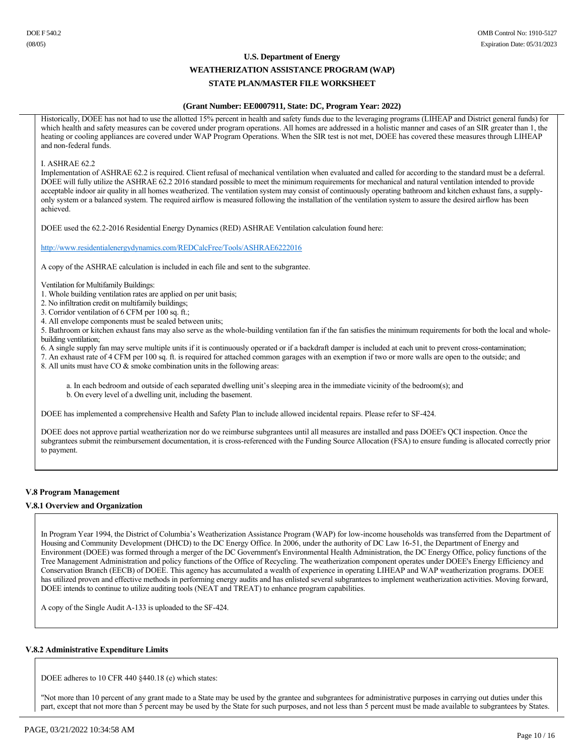# **U.S. Department of Energy WEATHERIZATION ASSISTANCE PROGRAM (WAP)**

# **STATE PLAN/MASTER FILE WORKSHEET**

#### **(Grant Number: EE0007911, State: DC, Program Year: 2022)**

Historically, DOEE has not had to use the allotted 15% percent in health and safety funds due to the leveraging programs (LIHEAP and District general funds) for which health and safety measures can be covered under program operations. All homes are addressed in a holistic manner and cases of an SIR greater than 1, the heating or cooling appliances are covered under WAP Program Operations. When the SIR test is not met, DOEE has covered these measures through LIHEAP and non-federal funds.

#### I. ASHRAE 62.2

Implementation of ASHRAE 62.2 is required. Client refusal of mechanical ventilation when evaluated and called for according to the standard must be a deferral. DOEE will fully utilize the ASHRAE 62.2 2016 standard possible to meet the minimum requirements for mechanical and natural ventilation intended to provide acceptable indoor air quality in all homes weatherized. The ventilation system may consist of continuously operating bathroom and kitchen exhaust fans, a supplyonly system or a balanced system. The required airflow is measured following the installation of the ventilation system to assure the desired airflow has been achieved.

DOEE used the 62.2-2016 Residential Energy Dynamics (RED) ASHRAE Ventilation calculation found here:

http://www.residentialenergydynamics.com/REDCalcFree/Tools/ASHRAE6222016

A copy of the ASHRAE calculation is included in each file and sent to the subgrantee.

- Ventilation for Multifamily Buildings:
- 1. Whole building ventilation rates are applied on per unit basis;
- 2. No infiltration credit on multifamily buildings;
- 3. Corridor ventilation of 6 CFM per 100 sq. ft.;
- 4. All envelope components must be sealed between units;

5. Bathroom or kitchen exhaust fans may also serve as the whole-building ventilation fan if the fan satisfies the minimum requirements for both the local and wholebuilding ventilation;

6. A single supply fan may serve multiple units if it is continuously operated or if a backdraft damper is included at each unit to prevent crosscontamination;

7. An exhaust rate of 4 CFM per 100 sq. ft. is required for attached common garages with an exemption if two or more walls are open to the outside; and

8. All units must have CO & smoke combination units in the following areas:

a. In each bedroom and outside of each separated dwelling unit's sleeping area in the immediate vicinity of the bedroom(s); and b. On every level of a dwelling unit, including the basement.

DOEE has implemented a comprehensive Health and Safety Plan to include allowed incidental repairs. Please refer to SF-424.

DOEE does not approve partial weatherization nor do we reimburse subgrantees until all measures are installed and pass DOEE's QCI inspection. Once the subgrantees submit the reimbursement documentation, it is cross-referenced with the Funding Source Allocation (FSA) to ensure funding is allocated correctly prior to payment.

## **V.8 Program Management**

#### **V.8.1 Overview and Organization**

In Program Year 1994, the District of Columbia's Weatherization Assistance Program (WAP) for low-income households was transferred from the Department of Housing and Community Development (DHCD) to the DC Energy Office. In 2006, under the authority of DC Law 1651, the Department of Energy and Environment (DOEE) was formed through a merger of the DC Government's Environmental Health Administration, the DC Energy Office, policy functions of the Tree Management Administration and policy functions of the Office of Recycling. The weatherization component operates under DOEE's Energy Efficiency and Conservation Branch (EECB) of DOEE. This agency has accumulated a wealth of experience in operating LIHEAP and WAP weatherization programs. DOEE has utilized proven and effective methods in performing energy audits and has enlisted several subgrantees to implement weatherization activities. Moving forward, DOEE intends to continue to utilize auditing tools (NEAT and TREAT) to enhance program capabilities.

A copy of the Single Audit A-133 is uploaded to the SF-424.

#### **V.8.2 Administrative Expenditure Limits**

DOEE adheres to 10 CFR 440 §440.18 (e) which states:

"Not more than 10 percent of any grant made to a State may be used by the grantee and subgrantees for administrative purposes in carrying out duties under this part, except that not more than 5 percent may be used by the State for such purposes, and not less than 5 percent must be made available to subgrantees by States.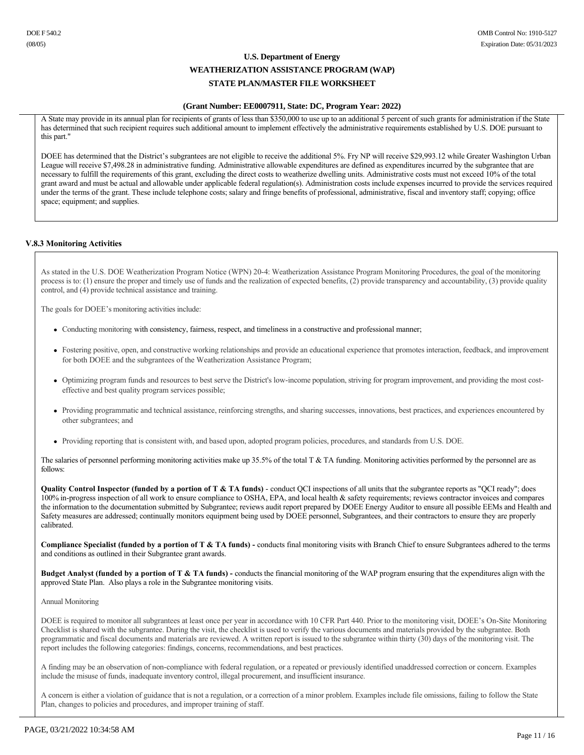## **(Grant Number: EE0007911, State: DC, Program Year: 2022)**

A State may provide in its annual plan for recipients of grants of less than \$350,000 to use up to an additional 5 percent of such grants for administration if the State has determined that such recipient requires such additional amount to implement effectively the administrative requirements established by U.S. DOE pursuant to this part."

DOEE has determined that the District's subgrantees are not eligible to receive the additional 5%. Fry NP will receive \$29,993.12 while Greater Washington Urban League will receive \$7,498.28 in administrative funding. Administrative allowable expenditures are defined as expenditures incurred by the subgrantee that are necessary to fulfill the requirements of this grant, excluding the direct costs to weatherize dwelling units. Administrative costs must not exceed 10% of the total grant award and must be actual and allowable under applicable federal regulation(s). Administration costs include expenses incurred to provide the services required under the terms of the grant. These include telephone costs; salary and fringe benefits of professional, administrative, fiscal and inventory staff; copying; office space; equipment; and supplies.

#### **V.8.3 Monitoring Activities**

As stated in the U.S. DOE Weatherization Program Notice (WPN) 204: Weatherization Assistance Program Monitoring Procedures, the goal of the monitoring process is to: (1) ensure the proper and timely use of funds and the realization of expected benefits, (2) provide transparency and accountability, (3) provide quality control, and (4) provide technical assistance and training.

The goals for DOEE's monitoring activities include:

- <sup>l</sup> Conducting monitoring with consistency, fairness, respect, and timeliness in a constructive and professional manner;
- <sup>l</sup> Fostering positive, open, and constructive working relationships and provide an educational experience that promotes interaction, feedback, and improvement for both DOEE and the subgrantees of the Weatherization Assistance Program;
- Optimizing program funds and resources to best serve the District's low-income population, striving for program improvement, and providing the most costeffective and best quality program services possible;
- <sup>l</sup> Providing programmatic and technical assistance, reinforcing strengths, and sharing successes, innovations, best practices, and experiences encountered by other subgrantees; and
- Providing reporting that is consistent with, and based upon, adopted program policies, procedures, and standards from U.S. DOE.

The salaries of personnel performing monitoring activities make up 35.5% of the total T  $\&$  TA funding. Monitoring activities performed by the personnel are as follows:

Quality Control Inspector (funded by a portion of T & TA funds) - conduct QCI inspections of all units that the subgrantee reports as "QCI ready"; does 100% in-progress inspection of all work to ensure compliance to OSHA, EPA, and local health & safety requirements; reviews contractor invoices and compares the information to the documentation submitted by Subgrantee; reviews audit report prepared by DOEE Energy Auditor to ensure all possible EEMs and Health and Safety measures are addressed; continually monitors equipment being used by DOEE personnel, Subgrantees, and their contractors to ensure they are properly calibrated.

**Compliance Specialist (funded by a portion of T & TA funds)**  conducts final monitoring visits with Branch Chief to ensure Subgrantees adhered to the terms and conditions as outlined in their Subgrantee grant awards.

**Budget Analyst (funded by a portion of T & TA funds)** - conducts the financial monitoring of the WAP program ensuring that the expenditures align with the approved State Plan. Also plays a role in the Subgrantee monitoring visits.

#### Annual Monitoring

DOEE is required to monitor all subgrantees at least once per year in accordance with 10 CFR Part 440. Prior to the monitoring visit, DOEE's On-Site Monitoring Checklist is shared with the subgrantee. During the visit, the checklist is used to verify the various documents and materials provided by the subgrantee. Both programmatic and fiscal documents and materials are reviewed. A written report is issued to the subgrantee within thirty (30) days of the monitoring visit. The report includes the following categories: findings, concerns, recommendations, and best practices.

A finding may be an observation of noncompliance with federal regulation, or a repeated or previously identified unaddressed correction or concern. Examples include the misuse of funds, inadequate inventory control, illegal procurement, and insufficient insurance.

A concern is either a violation of guidance that is not a regulation, or a correction of a minor problem. Examples include file omissions, failing to follow the State Plan, changes to policies and procedures, and improper training of staff.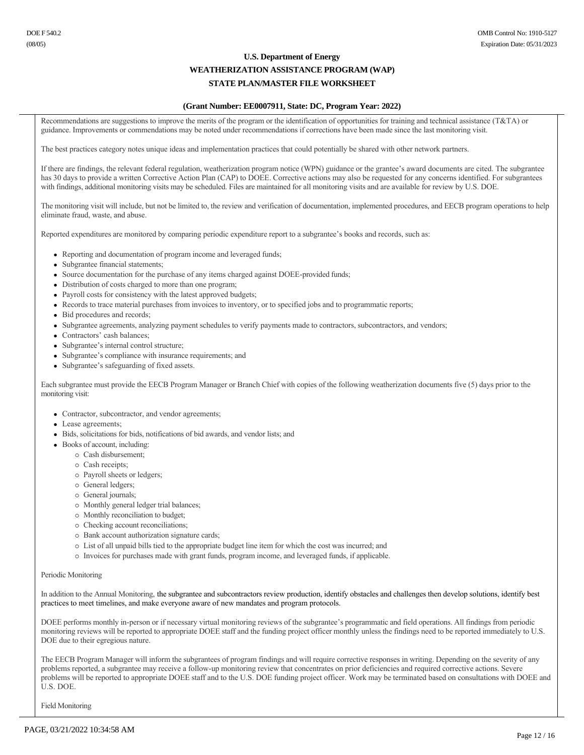#### **(Grant Number: EE0007911, State: DC, Program Year: 2022)**

Recommendations are suggestions to improve the merits of the program or the identification of opportunities for training and technical assistance (T&TA) or guidance. Improvements or commendations may be noted under recommendations if corrections have been made since the last monitoring visit.

The best practices category notes unique ideas and implementation practices that could potentially be shared with other network partners.

If there are findings, the relevant federal regulation, weatherization program notice (WPN) guidance or the grantee's award documents are cited. The subgrantee has 30 days to provide a written Corrective Action Plan (CAP) to DOEE. Corrective actions may also be requested for any concerns identified. For subgrantees with findings, additional monitoring visits may be scheduled. Files are maintained for all monitoring visits and are available for review by U.S. DOE.

The monitoring visit will include, but not be limited to, the review and verification of documentation, implemented procedures, and EECB program operations to help eliminate fraud, waste, and abuse.

Reported expenditures are monitored by comparing periodic expenditure report to a subgrantee's books and records, such as:

- Reporting and documentation of program income and leveraged funds;
- Subgrantee financial statements;
- Source documentation for the purchase of any items charged against DOEE-provided funds;
- Distribution of costs charged to more than one program;
- Payroll costs for consistency with the latest approved budgets;
- <sup>l</sup> Records to trace material purchases from invoices to inventory, or to specified jobs and to programmatic reports;
- Bid procedures and records;
- Subgrantee agreements, analyzing payment schedules to verify payments made to contractors, subcontractors, and vendors;
- Contractors' cash balances;
- Subgrantee's internal control structure;
- Subgrantee's compliance with insurance requirements; and
- Subgrantee's safeguarding of fixed assets.

Each subgrantee must provide the EECB Program Manager or Branch Chief with copies of the following weatherization documents five (5) days prior to the monitoring visit:

- Contractor, subcontractor, and vendor agreements;
- Lease agreements;
- <sup>l</sup> Bids, solicitations for bids, notifications of bid awards, and vendor lists; and
- Books of account, including:
	- ¡ Cash disbursement;
	- ¡ Cash receipts;
	- ¡ Payroll sheets or ledgers;
	- o General ledgers;
	- $\circ$  General journals;
	- ¡ Monthly general ledger trial balances;
	- ¡ Monthly reconciliation to budget;
	- $\circ$  Checking account reconciliations;
	- ¡ Bank account authorization signature cards;
	- ¡ List of all unpaid bills tied to the appropriate budget line item for which the cost was incurred; and
	- ¡ Invoices for purchases made with grant funds, program income, and leveraged funds, if applicable.

#### Periodic Monitoring

In addition to the Annual Monitoring, the subgrantee and subcontractors review production, identify obstacles and challenges then develop solutions, identify best practices to meet timelines, and make everyone aware of new mandates and program protocols.

DOEE performs monthly in-person or if necessary virtual monitoring reviews of the subgrantee's programmatic and field operations. All findings from periodic monitoring reviews will be reported to appropriate DOEE staff and the funding project officer monthly unless the findings need to be reported immediately to U.S. DOE due to their egregious nature.

The EECB Program Manager will inform the subgrantees of program findings and will require corrective responses in writing. Depending on the severity of any problems reported, a subgrantee may receive a followup monitoring review that concentrates on prior deficiencies and required corrective actions. Severe problems will be reported to appropriate DOEE staff and to the U.S. DOE funding project officer. Work may be terminated based on consultations with DOEE and U.S. DOE.

Field Monitoring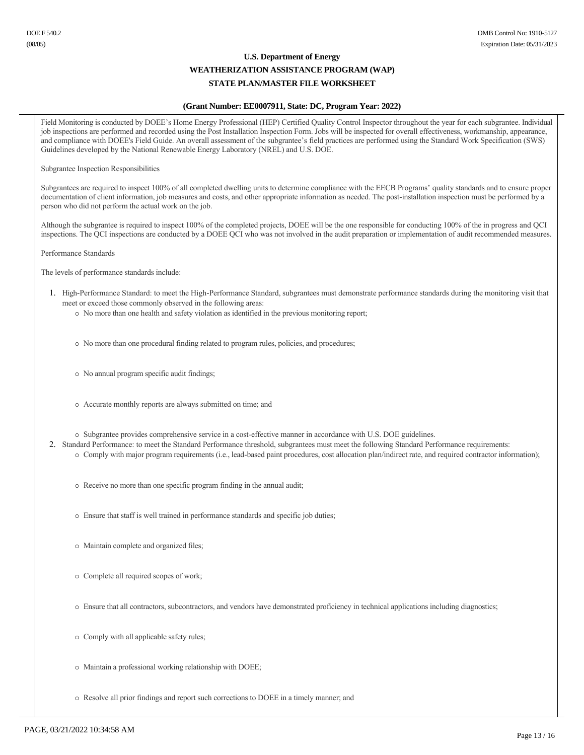#### **(Grant Number: EE0007911, State: DC, Program Year: 2022)**

Field Monitoring is conducted by DOEE's Home Energy Professional (HEP) Certified Quality Control Inspector throughout the year for each subgrantee. Individual job inspections are performed and recorded using the Post Installation Inspection Form. Jobs will be inspected for overall effectiveness, workmanship, appearance, and compliance with DOEE's Field Guide. An overall assessment of the subgrantee's field practices are performed using the Standard Work Specification (SWS) Guidelines developed by the National Renewable Energy Laboratory (NREL) and U.S. DOE.

Subgrantee Inspection Responsibilities

Subgrantees are required to inspect 100% of all completed dwelling units to determine compliance with the EECB Programs' quality standards and to ensure proper documentation of client information, job measures and costs, and other appropriate information as needed. The post-installation inspection must be performed by a person who did not perform the actual work on the job.

Although the subgrantee is required to inspect 100% of the completed projects, DOEE will be the one responsible for conducting 100% of the in progress and QCI inspections. The QCI inspections are conducted by a DOEE QCI who was not involved in the audit preparation or implementation of audit recommended measures.

Performance Standards

The levels of performance standards include:

- 1. High-Performance Standard: to meet the High-Performance Standard, subgrantees must demonstrate performance standards during the monitoring visit that meet or exceed those commonly observed in the following areas:
	- ¡ No more than one health and safety violation as identified in the previous monitoring report;
	- ¡ No more than one procedural finding related to program rules, policies, and procedures;
	- ¡ No annual program specific audit findings;
	- ¡ Accurate monthly reports are always submitted on time; and
	- ¡ Subgrantee provides comprehensive service in a costeffective manner in accordance with U.S. DOE guidelines.
- 2. Standard Performance: to meet the Standard Performance threshold, subgrantees must meet the following Standard Performance requirements:
	- $\circ$  Comply with major program requirements (i.e., lead-based paint procedures, cost allocation plan/indirect rate, and required contractor information);
		- ¡ Receive no more than one specific program finding in the annual audit;
		- ¡ Ensure that staff is well trained in performance standards and specific job duties;
		- ¡ Maintain complete and organized files;
		- ¡ Complete all required scopes of work;
		- ¡ Ensure that all contractors, subcontractors, and vendors have demonstrated proficiency in technical applications including diagnostics;
		- $\circ$  Comply with all applicable safety rules;
		- ¡ Maintain a professional working relationship with DOEE;
		- ¡ Resolve all prior findings and report such corrections to DOEE in a timely manner; and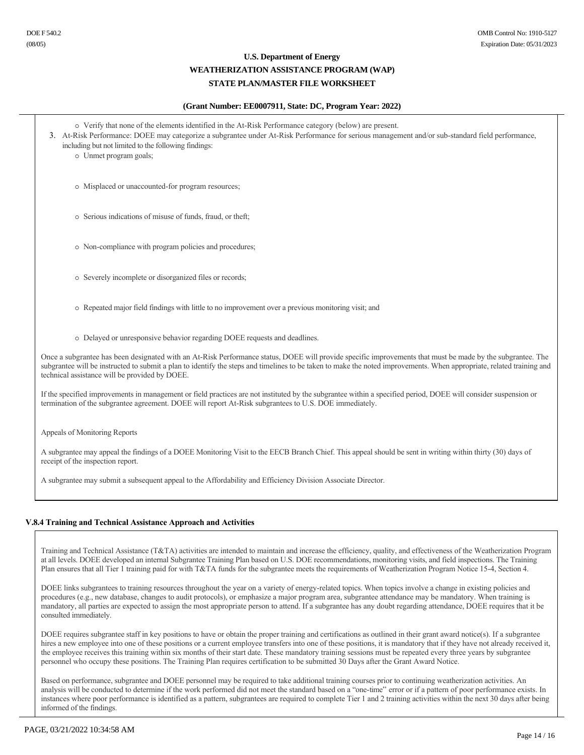## **(Grant Number: EE0007911, State: DC, Program Year: 2022)**

| • Verify that none of the elements identified in the At-Risk Performance category (below) are present.<br>3. At-Risk Performance: DOEE may categorize a subgrantee under At-Risk Performance for serious management and/or sub-standard field performance,<br>including but not limited to the following findings:<br>o Unmet program goals;                                          |  |  |  |
|---------------------------------------------------------------------------------------------------------------------------------------------------------------------------------------------------------------------------------------------------------------------------------------------------------------------------------------------------------------------------------------|--|--|--|
| o Misplaced or unaccounted-for program resources;                                                                                                                                                                                                                                                                                                                                     |  |  |  |
| o Serious indications of misuse of funds, fraud, or theft;                                                                                                                                                                                                                                                                                                                            |  |  |  |
| • Non-compliance with program policies and procedures;                                                                                                                                                                                                                                                                                                                                |  |  |  |
| o Severely incomplete or disorganized files or records;                                                                                                                                                                                                                                                                                                                               |  |  |  |
| • Repeated major field findings with little to no improvement over a previous monitoring visit; and                                                                                                                                                                                                                                                                                   |  |  |  |
| o Delayed or unresponsive behavior regarding DOEE requests and deadlines.                                                                                                                                                                                                                                                                                                             |  |  |  |
| Once a subgrantee has been designated with an At-Risk Performance status, DOEE will provide specific improvements that must be made by the subgrantee. The<br>subgrantee will be instructed to submit a plan to identify the steps and timelines to be taken to make the noted improvements. When appropriate, related training and<br>technical assistance will be provided by DOEE. |  |  |  |
| If the specified improvements in management or field practices are not instituted by the subgrantee within a specified period, DOEE will consider suspension or<br>termination of the subgrantee agreement. DOEE will report At-Risk subgrantees to U.S. DOE immediately.                                                                                                             |  |  |  |
| Appeals of Monitoring Reports                                                                                                                                                                                                                                                                                                                                                         |  |  |  |

A subgrantee may appeal the findings of a DOEE Monitoring Visit to the EECB Branch Chief. This appeal should be sent in writing within thirty (30) days of receipt of the inspection report.

A subgrantee may submit a subsequent appeal to the Affordability and Efficiency Division Associate Director.

## **V.8.4 Training and Technical Assistance Approach and Activities**

Training and Technical Assistance (T&TA) activities are intended to maintain and increase the efficiency, quality, and effectiveness of the Weatherization Program at all levels. DOEE developed an internal Subgrantee Training Plan based on U.S. DOE recommendations, monitoring visits, and field inspections. The Training Plan ensures that all Tier 1 training paid for with T&TA funds for the subgrantee meets the requirements of Weatherization Program Notice 15-4, Section 4.

DOEE links subgrantees to training resources throughout the year on a variety of energy-related topics. When topics involve a change in existing policies and procedures (e.g., new database, changes to audit protocols), or emphasize a major program area, subgrantee attendance may be mandatory. When training is mandatory, all parties are expected to assign the most appropriate person to attend. If a subgrantee has any doubt regarding attendance, DOEE requires that it be consulted immediately.

DOEE requires subgrantee staff in key positions to have or obtain the proper training and certifications as outlined in their grant award notice(s). If a subgrantee hires a new employee into one of these positions or a current employee transfers into one of these positions, it is mandatory that if they have not already received it, the employee receives this training within six months of their start date. These mandatory training sessions must be repeated every three years by subgrantee personnel who occupy these positions. The Training Plan requires certification to be submitted 30 Days after the Grant Award Notice.

Based on performance, subgrantee and DOEE personnel may be required to take additional training courses prior to continuing weatherization activities. An analysis will be conducted to determine if the work performed did not meet the standard based on a "one-time" error or if a pattern of poor performance exists. In instances where poor performance is identified as a pattern, subgrantees are required to complete Tier 1 and 2 training activities within the next 30 days after being informed of the findings.